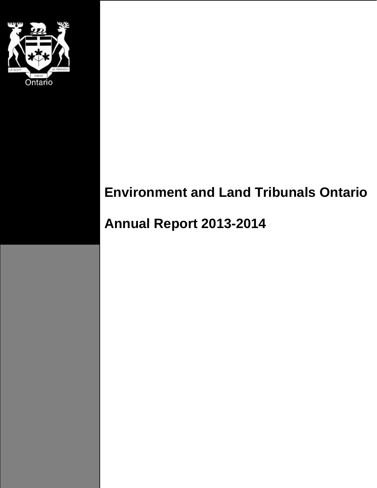

# **Environment and Land Tribunals Ontario**

# **Annual Report 2013-2014**

Environment and Land Tribunals Ontario Annual Report 2013-2014 <sup>1</sup>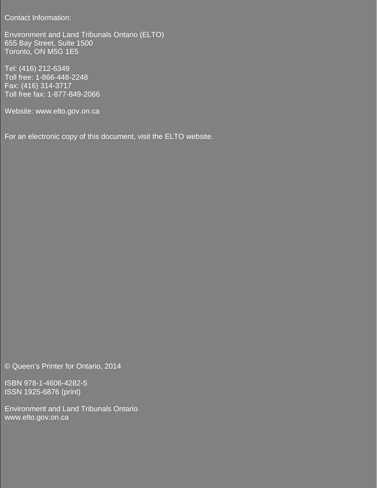Contact Information:

To the Honourable Christian Bentley, Attorney General Bentley, Attorney General Bentley, Attorney General Bentley, A<br>Chris Bentley, Attorney General Bentley, Attorney General Bentley, Attorney General Bentley, Attorney Gen Environment and Land Tribunals Ontario (ELTO) 655 Bay Street, Suite 1500 Toronto, ON M5G 1E5

Dear Minister, Toll free: 1-866-448-2248 We have the pleasure of submitting, for your approval, the Toll free fax: 1-877-849-2066 Tel: (416) 212-6349 Fax: (416) 314-3717

Website: www.elto.gov.on.ca

For an electronic copy of this document, visit the ELTO website.

© Queen's Printer for Ontario, 2014

ISBN 978-1-4606-4282-5 ISSN 1925-6876 (print)

Environment and Land Tribunals Ontario www.elto.gov.on.ca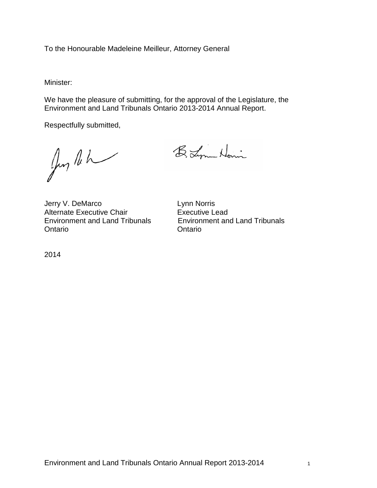To the Honourable Madeleine Meilleur, Attorney General

Minister:

We have the pleasure of submitting, for the approval of the Legislature, the Environment and Land Tribunals Ontario 2013-2014 Annual Report.

Respectfully submitted,

Jun leh

B. Lynn Homin

Jerry V. DeMarco Lynn Norris Alternate Executive Chair Fall Executive Lead<br>
Environment and Land Tribunals<br>
Environment an Ontario Ontario

Environment and Land Tribunals Environment and Land Tribunals

2014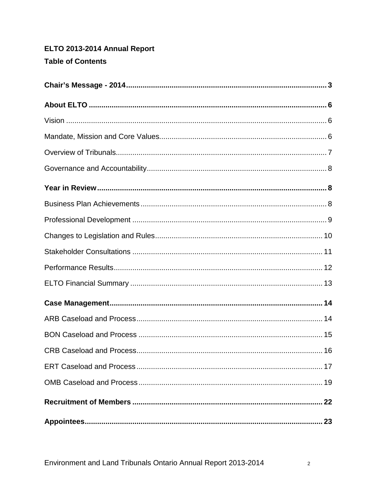# ELTO 2013-2014 Annual Report **Table of Contents**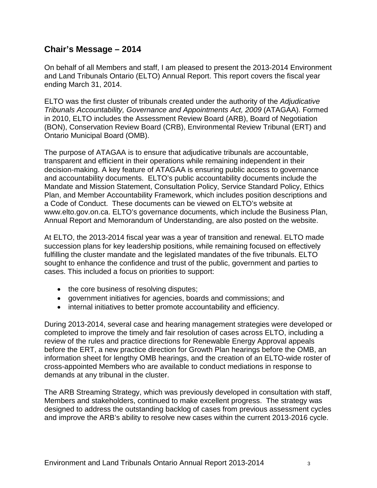# <span id="page-4-0"></span>**Chair's Message – 2014**

On behalf of all Members and staff, I am pleased to present the 2013-2014 Environment and Land Tribunals Ontario (ELTO) Annual Report. This report covers the fiscal year ending March 31, 2014.

ELTO was the first cluster of tribunals created under the authority of the *Adjudicative Tribunals Accountability, Governance and Appointments Act, 2009* (ATAGAA). Formed in 2010, ELTO includes the Assessment Review Board (ARB), Board of Negotiation (BON), Conservation Review Board (CRB), Environmental Review Tribunal (ERT) and Ontario Municipal Board (OMB).

The purpose of ATAGAA is to ensure that adjudicative tribunals are accountable, transparent and efficient in their operations while remaining independent in their decision-making. A key feature of ATAGAA is ensuring public access to governance and accountability documents. ELTO's public accountability documents include the Mandate and Mission Statement, Consultation Policy, Service Standard Policy, Ethics Plan, and Member Accountability Framework, which includes position descriptions and a Code of Conduct. These documents can be viewed on ELTO's website at www.elto.gov.on.ca. ELTO's governance documents, which include the Business Plan, Annual Report and Memorandum of Understanding, are also posted on the website.

At ELTO, the 2013-2014 fiscal year was a year of transition and renewal. ELTO made succession plans for key leadership positions, while remaining focused on effectively fulfilling the cluster mandate and the legislated mandates of the five tribunals. ELTO sought to enhance the confidence and trust of the public, government and parties to cases. This included a focus on priorities to support:

- the core business of resolving disputes;
- government initiatives for agencies, boards and commissions; and
- internal initiatives to better promote accountability and efficiency.

During 2013-2014, several case and hearing management strategies were developed or completed to improve the timely and fair resolution of cases across ELTO, including a review of the rules and practice directions for Renewable Energy Approval appeals before the ERT, a new practice direction for Growth Plan hearings before the OMB, an information sheet for lengthy OMB hearings, and the creation of an ELTO-wide roster of cross-appointed Members who are available to conduct mediations in response to demands at any tribunal in the cluster.

The ARB Streaming Strategy, which was previously developed in consultation with staff, Members and stakeholders, continued to make excellent progress. The strategy was designed to address the outstanding backlog of cases from previous assessment cycles and improve the ARB's ability to resolve new cases within the current 2013-2016 cycle.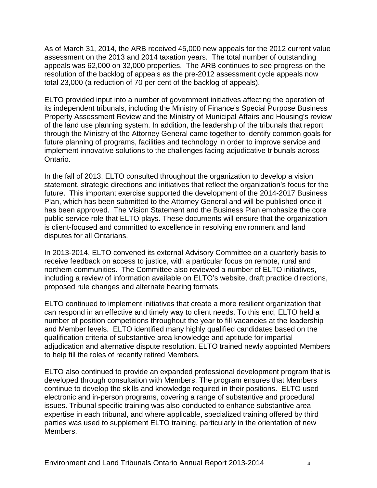As of March 31, 2014, the ARB received 45,000 new appeals for the 2012 current value assessment on the 2013 and 2014 taxation years. The total number of outstanding appeals was 62,000 on 32,000 properties. The ARB continues to see progress on the resolution of the backlog of appeals as the pre-2012 assessment cycle appeals now total 23,000 (a reduction of 70 per cent of the backlog of appeals).

ELTO provided input into a number of government initiatives affecting the operation of its independent tribunals, including the Ministry of Finance's Special Purpose Business Property Assessment Review and the Ministry of Municipal Affairs and Housing's review of the land use planning system. In addition, the leadership of the tribunals that report through the Ministry of the Attorney General came together to identify common goals for future planning of programs, facilities and technology in order to improve service and implement innovative solutions to the challenges facing adjudicative tribunals across Ontario.

In the fall of 2013, ELTO consulted throughout the organization to develop a vision statement, strategic directions and initiatives that reflect the organization's focus for the future. This important exercise supported the development of the 2014-2017 Business Plan, which has been submitted to the Attorney General and will be published once it has been approved. The Vision Statement and the Business Plan emphasize the core public service role that ELTO plays. These documents will ensure that the organization is client-focused and committed to excellence in resolving environment and land disputes for all Ontarians.

In 2013-2014, ELTO convened its external Advisory Committee on a quarterly basis to receive feedback on access to justice, with a particular focus on remote, rural and northern communities. The Committee also reviewed a number of ELTO initiatives, including a review of information available on ELTO's website, draft practice directions, proposed rule changes and alternate hearing formats.

ELTO continued to implement initiatives that create a more resilient organization that can respond in an effective and timely way to client needs. To this end, ELTO held a number of position competitions throughout the year to fill vacancies at the leadership and Member levels. ELTO identified many highly qualified candidates based on the qualification criteria of substantive area knowledge and aptitude for impartial adjudication and alternative dispute resolution. ELTO trained newly appointed Members to help fill the roles of recently retired Members.

ELTO also continued to provide an expanded professional development program that is developed through consultation with Members. The program ensures that Members continue to develop the skills and knowledge required in their positions. ELTO used electronic and in-person programs, covering a range of substantive and procedural issues. Tribunal specific training was also conducted to enhance substantive area expertise in each tribunal, and where applicable, specialized training offered by third parties was used to supplement ELTO training, particularly in the orientation of new Members.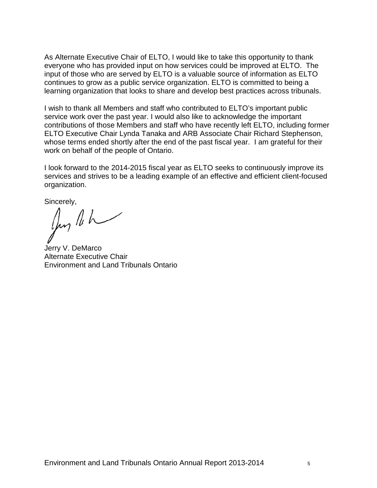As Alternate Executive Chair of ELTO, I would like to take this opportunity to thank everyone who has provided input on how services could be improved at ELTO. The input of those who are served by ELTO is a valuable source of information as ELTO continues to grow as a public service organization. ELTO is committed to being a learning organization that looks to share and develop best practices across tribunals.

I wish to thank all Members and staff who contributed to ELTO's important public service work over the past year. I would also like to acknowledge the important contributions of those Members and staff who have recently left ELTO, including former ELTO Executive Chair Lynda Tanaka and ARB Associate Chair Richard Stephenson, whose terms ended shortly after the end of the past fiscal year. I am grateful for their work on behalf of the people of Ontario.

I look forward to the 2014-2015 fiscal year as ELTO seeks to continuously improve its services and strives to be a leading example of an effective and efficient client-focused organization.

Sincerely,<br> $\iint_V \iint_V \iint_V$ 

Jerry V. DeMarco Alternate Executive Chair Environment and Land Tribunals Ontario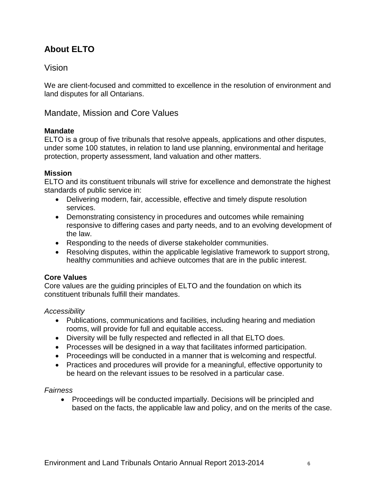# <span id="page-7-0"></span>**About ELTO**

# <span id="page-7-1"></span>Vision

We are client-focused and committed to excellence in the resolution of environment and land disputes for all Ontarians.

<span id="page-7-2"></span>Mandate, Mission and Core Values

### **Mandate**

ELTO is a group of five tribunals that resolve appeals, applications and other disputes, under some 100 statutes, in relation to land use planning, environmental and heritage protection, property assessment, land valuation and other matters.

### **Mission**

ELTO and its constituent tribunals will strive for excellence and demonstrate the highest standards of public service in:

- Delivering modern, fair, accessible, effective and timely dispute resolution services.
- Demonstrating consistency in procedures and outcomes while remaining responsive to differing cases and party needs, and to an evolving development of the law.
- Responding to the needs of diverse stakeholder communities.
- Resolving disputes, within the applicable legislative framework to support strong, healthy communities and achieve outcomes that are in the public interest.

#### **Core Values**

Core values are the guiding principles of ELTO and the foundation on which its constituent tribunals fulfill their mandates.

#### *Accessibility*

- Publications, communications and facilities, including hearing and mediation rooms, will provide for full and equitable access.
- Diversity will be fully respected and reflected in all that ELTO does.
- Processes will be designed in a way that facilitates informed participation.
- Proceedings will be conducted in a manner that is welcoming and respectful.
- Practices and procedures will provide for a meaningful, effective opportunity to be heard on the relevant issues to be resolved in a particular case.

#### *Fairness*

• Proceedings will be conducted impartially. Decisions will be principled and based on the facts, the applicable law and policy, and on the merits of the case.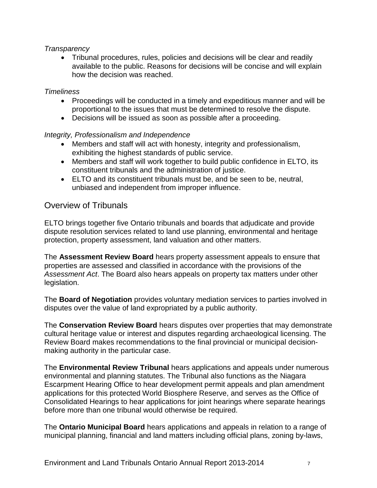### *Transparency*

• Tribunal procedures, rules, policies and decisions will be clear and readily available to the public. Reasons for decisions will be concise and will explain how the decision was reached.

#### *Timeliness*

- Proceedings will be conducted in a timely and expeditious manner and will be proportional to the issues that must be determined to resolve the dispute.
- Decisions will be issued as soon as possible after a proceeding.

#### *Integrity, Professionalism and Independence*

- Members and staff will act with honesty, integrity and professionalism, exhibiting the highest standards of public service.
- Members and staff will work together to build public confidence in ELTO, its constituent tribunals and the administration of justice.
- ELTO and its constituent tribunals must be, and be seen to be, neutral, unbiased and independent from improper influence.

# <span id="page-8-0"></span>Overview of Tribunals

ELTO brings together five Ontario tribunals and boards that adjudicate and provide dispute resolution services related to land use planning, environmental and heritage protection, property assessment, land valuation and other matters.

The **Assessment Review Board** hears property assessment appeals to ensure that properties are assessed and classified in accordance with the provisions of the *Assessment Act*. The Board also hears appeals on property tax matters under other legislation.

The **Board of Negotiation** provides voluntary mediation services to parties involved in disputes over the value of land expropriated by a public authority.

The **Conservation Review Board** hears disputes over properties that may demonstrate cultural heritage value or interest and disputes regarding archaeological licensing. The Review Board makes recommendations to the final provincial or municipal decisionmaking authority in the particular case.

The **Environmental Review Tribunal** hears applications and appeals under numerous environmental and planning statutes. The Tribunal also functions as the Niagara Escarpment Hearing Office to hear development permit appeals and plan amendment applications for this protected World Biosphere Reserve, and serves as the Office of Consolidated Hearings to hear applications for joint hearings where separate hearings before more than one tribunal would otherwise be required.

The **Ontario Municipal Board** hears applications and appeals in relation to a range of municipal planning, financial and land matters including official plans, zoning by-laws,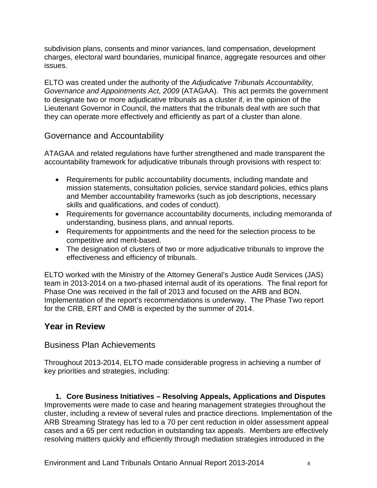subdivision plans, consents and minor variances, land compensation, development charges, electoral ward boundaries, municipal finance, aggregate resources and other issues.

ELTO was created under the authority of the *Adjudicative Tribunals Accountability, Governance and Appointments Act, 2009* (ATAGAA). This act permits the government to designate two or more adjudicative tribunals as a cluster if, in the opinion of the Lieutenant Governor in Council, the matters that the tribunals deal with are such that they can operate more effectively and efficiently as part of a cluster than alone.

# <span id="page-9-0"></span>Governance and Accountability

ATAGAA and related regulations have further strengthened and made transparent the accountability framework for adjudicative tribunals through provisions with respect to:

- Requirements for public accountability documents, including mandate and mission statements, consultation policies, service standard policies, ethics plans and Member accountability frameworks (such as job descriptions, necessary skills and qualifications, and codes of conduct).
- Requirements for governance accountability documents, including memoranda of understanding, business plans, and annual reports.
- Requirements for appointments and the need for the selection process to be competitive and merit‐based.
- The designation of clusters of two or more adjudicative tribunals to improve the effectiveness and efficiency of tribunals.

ELTO worked with the Ministry of the Attorney General's Justice Audit Services (JAS) team in 2013-2014 on a two-phased internal audit of its operations. The final report for Phase One was received in the fall of 2013 and focused on the ARB and BON. Implementation of the report's recommendations is underway. The Phase Two report for the CRB, ERT and OMB is expected by the summer of 2014.

# <span id="page-9-1"></span>**Year in Review**

## <span id="page-9-2"></span>Business Plan Achievements

Throughout 2013-2014, ELTO made considerable progress in achieving a number of key priorities and strategies, including:

**1. Core Business Initiatives – Resolving Appeals, Applications and Disputes** Improvements were made to case and hearing management strategies throughout the cluster, including a review of several rules and practice directions. Implementation of the ARB Streaming Strategy has led to a 70 per cent reduction in older assessment appeal cases and a 65 per cent reduction in outstanding tax appeals. Members are effectively resolving matters quickly and efficiently through mediation strategies introduced in the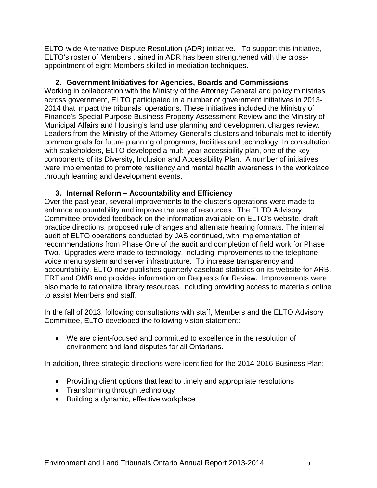ELTO-wide Alternative Dispute Resolution (ADR) initiative. To support this initiative, ELTO's roster of Members trained in ADR has been strengthened with the crossappointment of eight Members skilled in mediation techniques.

**2. Government Initiatives for Agencies, Boards and Commissions** Working in collaboration with the Ministry of the Attorney General and policy ministries across government, ELTO participated in a number of government initiatives in 2013- 2014 that impact the tribunals' operations. These initiatives included the Ministry of Finance's Special Purpose Business Property Assessment Review and the Ministry of Municipal Affairs and Housing's land use planning and development charges review. Leaders from the Ministry of the Attorney General's clusters and tribunals met to identify common goals for future planning of programs, facilities and technology. In consultation with stakeholders, ELTO developed a multi-year accessibility plan, one of the key components of its Diversity, Inclusion and Accessibility Plan. A number of initiatives were implemented to promote resiliency and mental health awareness in the workplace through learning and development events.

### **3. Internal Reform – Accountability and Efficiency**

Over the past year, several improvements to the cluster's operations were made to enhance accountability and improve the use of resources. The ELTO Advisory Committee provided feedback on the information available on ELTO's website, draft practice directions, proposed rule changes and alternate hearing formats. The internal audit of ELTO operations conducted by JAS continued, with implementation of recommendations from Phase One of the audit and completion of field work for Phase Two. Upgrades were made to technology, including improvements to the telephone voice menu system and server infrastructure. To increase transparency and accountability, ELTO now publishes quarterly caseload statistics on its website for ARB, ERT and OMB and provides information on Requests for Review. Improvements were also made to rationalize library resources, including providing access to materials online to assist Members and staff.

In the fall of 2013, following consultations with staff, Members and the ELTO Advisory Committee, ELTO developed the following vision statement:

• We are client-focused and committed to excellence in the resolution of environment and land disputes for all Ontarians.

In addition, three strategic directions were identified for the 2014-2016 Business Plan:

- Providing client options that lead to timely and appropriate resolutions
- Transforming through technology
- <span id="page-10-0"></span>• Building a dynamic, effective workplace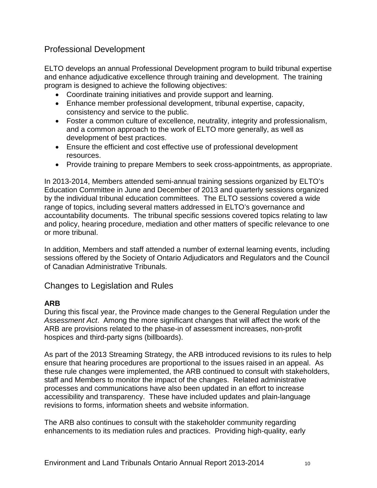# Professional Development

ELTO develops an annual Professional Development program to build tribunal expertise and enhance adjudicative excellence through training and development. The training program is designed to achieve the following objectives:

- Coordinate training initiatives and provide support and learning.
- Enhance member professional development, tribunal expertise, capacity, consistency and service to the public.
- Foster a common culture of excellence, neutrality, integrity and professionalism, and a common approach to the work of ELTO more generally, as well as development of best practices.
- Ensure the efficient and cost effective use of professional development resources.
- Provide training to prepare Members to seek cross-appointments, as appropriate.

In 2013-2014, Members attended semi-annual training sessions organized by ELTO's Education Committee in June and December of 2013 and quarterly sessions organized by the individual tribunal education committees. The ELTO sessions covered a wide range of topics, including several matters addressed in ELTO's governance and accountability documents. The tribunal specific sessions covered topics relating to law and policy, hearing procedure, mediation and other matters of specific relevance to one or more tribunal.

In addition, Members and staff attended a number of external learning events, including sessions offered by the Society of Ontario Adjudicators and Regulators and the Council of Canadian Administrative Tribunals.

# <span id="page-11-0"></span>Changes to Legislation and Rules

## **ARB**

During this fiscal year, the Province made changes to the General Regulation under the *Assessment Act*. Among the more significant changes that will affect the work of the ARB are provisions related to the phase-in of assessment increases, non-profit hospices and third-party signs (billboards).

As part of the 2013 Streaming Strategy, the ARB introduced revisions to its rules to help ensure that hearing procedures are proportional to the issues raised in an appeal. As these rule changes were implemented, the ARB continued to consult with stakeholders, staff and Members to monitor the impact of the changes. Related administrative processes and communications have also been updated in an effort to increase accessibility and transparency. These have included updates and plain-language revisions to forms, information sheets and website information.

The ARB also continues to consult with the stakeholder community regarding enhancements to its mediation rules and practices. Providing high-quality, early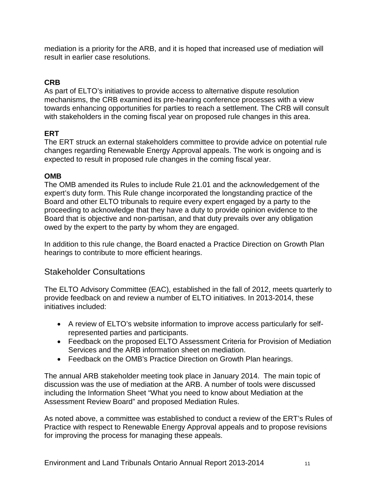mediation is a priority for the ARB, and it is hoped that increased use of mediation will result in earlier case resolutions.

# **CRB**

As part of ELTO's initiatives to provide access to alternative dispute resolution mechanisms, the CRB examined its pre-hearing conference processes with a view towards enhancing opportunities for parties to reach a settlement. The CRB will consult with stakeholders in the coming fiscal year on proposed rule changes in this area.

# **ERT**

The ERT struck an external stakeholders committee to provide advice on potential rule changes regarding Renewable Energy Approval appeals. The work is ongoing and is expected to result in proposed rule changes in the coming fiscal year.

## **OMB**

The OMB amended its Rules to include Rule 21.01 and the acknowledgement of the expert's duty form. This Rule change incorporated the longstanding practice of the Board and other ELTO tribunals to require every expert engaged by a party to the proceeding to acknowledge that they have a duty to provide opinion evidence to the Board that is objective and non-partisan, and that duty prevails over any obligation owed by the expert to the party by whom they are engaged.

In addition to this rule change, the Board enacted a Practice Direction on Growth Plan hearings to contribute to more efficient hearings.

# <span id="page-12-0"></span>Stakeholder Consultations

The ELTO Advisory Committee (EAC), established in the fall of 2012, meets quarterly to provide feedback on and review a number of ELTO initiatives. In 2013-2014, these initiatives included:

- A review of ELTO's website information to improve access particularly for selfrepresented parties and participants.
- Feedback on the proposed ELTO Assessment Criteria for Provision of Mediation Services and the ARB information sheet on mediation.
- Feedback on the OMB's Practice Direction on Growth Plan hearings.

The annual ARB stakeholder meeting took place in January 2014. The main topic of discussion was the use of mediation at the ARB. A number of tools were discussed including the Information Sheet "What you need to know about Mediation at the Assessment Review Board" and proposed Mediation Rules.

As noted above, a committee was established to conduct a review of the ERT's Rules of Practice with respect to Renewable Energy Approval appeals and to propose revisions for improving the process for managing these appeals.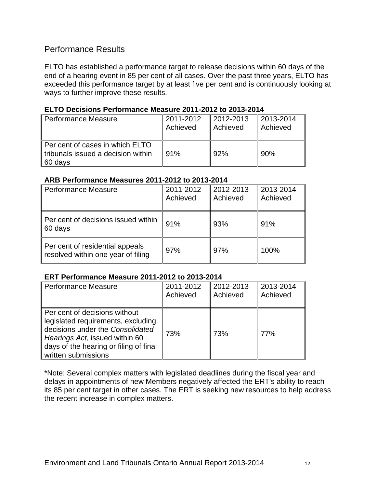# <span id="page-13-0"></span>Performance Results

ELTO has established a performance target to release decisions within 60 days of the end of a hearing event in 85 per cent of all cases. Over the past three years, ELTO has exceeded this performance target by at least five per cent and is continuously looking at ways to further improve these results.

#### **ELTO Decisions Performance Measure 2011-2012 to 2013-2014**

| <b>Performance Measure</b>                                                       | 2011-2012 | $\parallel$ 2012-2013 | 2013-2014  |
|----------------------------------------------------------------------------------|-----------|-----------------------|------------|
|                                                                                  | Achieved  | Achieved              | ∥ Achieved |
| Per cent of cases in which ELTO<br>tribunals issued a decision within<br>60 days | 91%       | 92%                   | 90%        |

### **ARB Performance Measures 2011-2012 to 2013-2014**

| <b>Performance Measure</b>                                            | 2011-2012<br>Achieved | 2012-2013<br>Achieved | 2013-2014<br>Achieved |
|-----------------------------------------------------------------------|-----------------------|-----------------------|-----------------------|
| Per cent of decisions issued within<br>60 days                        | 91%                   | 93%                   | 91%                   |
| Per cent of residential appeals<br>resolved within one year of filing | 97%                   | 97%                   | 100%                  |

#### **ERT Performance Measure 2011-2012 to 2013-2014**

| <b>Performance Measure</b>                                                                                                                                                                                 | 2011-2012 | 2012-2013 | 2013-2014 |
|------------------------------------------------------------------------------------------------------------------------------------------------------------------------------------------------------------|-----------|-----------|-----------|
|                                                                                                                                                                                                            | Achieved  | Achieved  | Achieved  |
| Per cent of decisions without<br>legislated requirements, excluding<br>decisions under the Consolidated<br>Hearings Act, issued within 60<br>days of the hearing or filing of final<br>written submissions | 73%       | 73%       | 77%       |

\*Note: Several complex matters with legislated deadlines during the fiscal year and delays in appointments of new Members negatively affected the ERT's ability to reach its 85 per cent target in other cases. The ERT is seeking new resources to help address the recent increase in complex matters.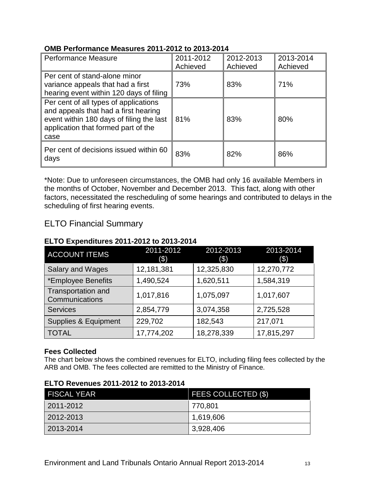### **OMB Performance Measures 2011-2012 to 2013-2014**

| <b>Performance Measure</b>                                                                                                                                               | 2011-2012<br>Achieved | 2012-2013<br>Achieved | 2013-2014<br>Achieved |
|--------------------------------------------------------------------------------------------------------------------------------------------------------------------------|-----------------------|-----------------------|-----------------------|
| Per cent of stand-alone minor<br>variance appeals that had a first<br>hearing event within 120 days of filing                                                            | 73%                   | 83%                   | 71%                   |
| Per cent of all types of applications<br>and appeals that had a first hearing<br>event within 180 days of filing the last<br>application that formed part of the<br>case | 81%                   | 83%                   | 80%                   |
| Per cent of decisions issued within 60<br>days                                                                                                                           | 83%                   | 82%                   | 86%                   |

\*Note: Due to unforeseen circumstances, the OMB had only 16 available Members in the months of October, November and December 2013. This fact, along with other factors, necessitated the rescheduling of some hearings and contributed to delays in the scheduling of first hearing events.

# <span id="page-14-0"></span>ELTO Financial Summary

## **ELTO Expenditures 2011-2012 to 2013-2014**

| <b>ACCOUNT ITEMS</b>                 | 2011-2012<br>(3) | 2012-2013<br>(\$) | 2013-2014<br>(3) |
|--------------------------------------|------------------|-------------------|------------------|
| <b>Salary and Wages</b>              | 12,181,381       | 12,325,830        | 12,270,772       |
| *Employee Benefits                   | 1,490,524        | 1,620,511         | 1,584,319        |
| Transportation and<br>Communications | 1,017,816        | 1,075,097         | 1,017,607        |
| <b>Services</b>                      | 2,854,779        | 3,074,358         | 2,725,528        |
| Supplies & Equipment                 | 229,702          | 182,543           | 217,071          |
| <b>TOTAL</b>                         | 17,774,202       | 18,278,339        | 17,815,297       |

## **Fees Collected**

The chart below shows the combined revenues for ELTO, including filing fees collected by the ARB and OMB. The fees collected are remitted to the Ministry of Finance.

| <b>FISCAL YEAR</b> | <b>FEES COLLECTED (\$)</b> |
|--------------------|----------------------------|
| 2011-2012          | 770,801                    |
| 2012-2013          | 1,619,606                  |
| 2013-2014          | 3,928,406                  |

#### **ELTO Revenues 2011-2012 to 2013-2014**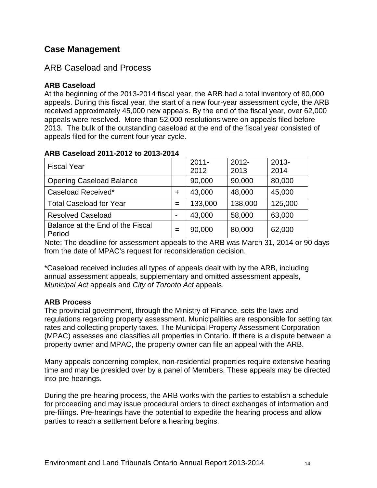# <span id="page-15-0"></span>**Case Management**

# <span id="page-15-1"></span>ARB Caseload and Process

# **ARB Caseload**

At the beginning of the 2013-2014 fiscal year, the ARB had a total inventory of 80,000 appeals. During this fiscal year, the start of a new four-year assessment cycle, the ARB received approximately 45,000 new appeals. By the end of the fiscal year, over 62,000 appeals were resolved. More than 52,000 resolutions were on appeals filed before 2013. The bulk of the outstanding caseload at the end of the fiscal year consisted of appeals filed for the current four-year cycle.

| <b>Fiscal Year</b>                         |                          | $2011 -$ | $2012 -$ | $2013 -$ |
|--------------------------------------------|--------------------------|----------|----------|----------|
|                                            |                          | 2012     | 2013     | 2014     |
| <b>Opening Caseload Balance</b>            |                          | 90,000   | 90,000   | 80,000   |
| Caseload Received*                         | ÷                        | 43,000   | 48,000   | 45,000   |
| <b>Total Caseload for Year</b>             | $=$                      | 133,000  | 138,000  | 125,000  |
| <b>Resolved Caseload</b>                   | $\overline{\phantom{0}}$ | 43,000   | 58,000   | 63,000   |
| Balance at the End of the Fiscal<br>Period | $=$                      | 90,000   | 80,000   | 62,000   |

## **ARB Caseload 2011-2012 to 2013-2014**

Note: The deadline for assessment appeals to the ARB was March 31, 2014 or 90 days from the date of MPAC's request for reconsideration decision.

\*Caseload received includes all types of appeals dealt with by the ARB, including annual assessment appeals, supplementary and omitted assessment appeals, *Municipal Act* appeals and *City of Toronto Act* appeals.

# **ARB Process**

The provincial government, through the Ministry of Finance, sets the laws and regulations regarding property assessment. Municipalities are responsible for setting tax rates and collecting property taxes. The Municipal Property Assessment Corporation (MPAC) assesses and classifies all properties in Ontario. If there is a dispute between a property owner and MPAC, the property owner can file an appeal with the ARB.

Many appeals concerning complex, non-residential properties require extensive hearing time and may be presided over by a panel of Members. These appeals may be directed into pre-hearings.

During the pre-hearing process, the ARB works with the parties to establish a schedule for proceeding and may issue procedural orders to direct exchanges of information and pre-filings. Pre-hearings have the potential to expedite the hearing process and allow parties to reach a settlement before a hearing begins.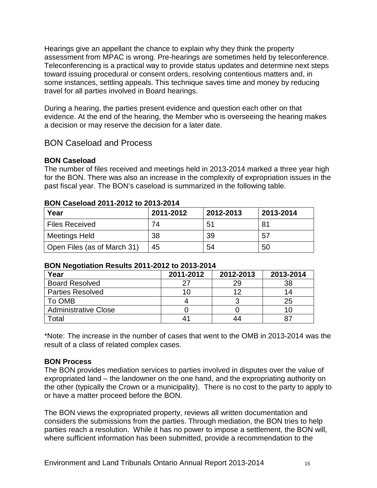Hearings give an appellant the chance to explain why they think the property assessment from MPAC is wrong. Pre-hearings are sometimes held by teleconference. Teleconferencing is a practical way to provide status updates and determine next steps toward issuing procedural or consent orders, resolving contentious matters and, in some instances, settling appeals. This technique saves time and money by reducing travel for all parties involved in Board hearings.

During a hearing, the parties present evidence and question each other on that evidence. At the end of the hearing, the Member who is overseeing the hearing makes a decision or may reserve the decision for a later date.

# <span id="page-16-0"></span>BON Caseload and Process

### **BON Caseload**

The number of files received and meetings held in 2013-2014 marked a three year high for the BON. There was also an increase in the complexity of expropriation issues in the past fiscal year. The BON's caseload is summarized in the following table.

| Year                        | 2011-2012 | 2012-2013 | 2013-2014 |
|-----------------------------|-----------|-----------|-----------|
| <b>Files Received</b>       | 74        | 51        |           |
| Meetings Held               | 38        | 39        | 57        |
| Open Files (as of March 31) | 45        | 54        | 50        |

#### **BON Caseload 2011-2012 to 2013-2014**

#### **BON Negotiation Results 2011-2012 to 2013-2014**

| Year                        | 2011-2012 | 2012-2013 | 2013-2014 |
|-----------------------------|-----------|-----------|-----------|
| <b>Board Resolved</b>       |           | 29.       | 38        |
| <b>Parties Resolved</b>     |           |           |           |
| To OMB                      |           |           | 25        |
| <b>Administrative Close</b> |           |           |           |
| Total                       |           |           |           |

\*Note: The increase in the number of cases that went to the OMB in 2013-2014 was the result of a class of related complex cases.

#### **BON Process**

The BON provides mediation services to parties involved in disputes over the value of expropriated land – the landowner on the one hand, and the expropriating authority on the other (typically the Crown or a municipality). There is no cost to the party to apply to or have a matter proceed before the BON.

The BON views the expropriated property, reviews all written documentation and considers the submissions from the parties. Through mediation, the BON tries to help parties reach a resolution. While it has no power to impose a settlement, the BON will, where sufficient information has been submitted, provide a recommendation to the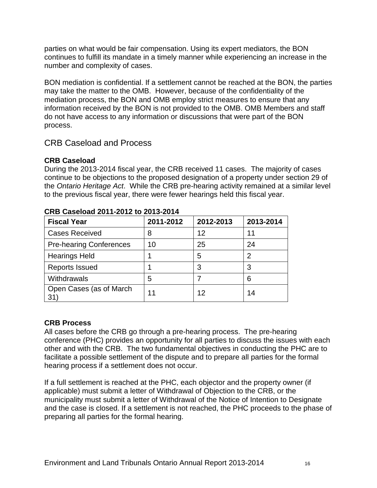parties on what would be fair compensation. Using its expert mediators, the BON continues to fulfill its mandate in a timely manner while experiencing an increase in the number and complexity of cases.

BON mediation is confidential. If a settlement cannot be reached at the BON, the parties may take the matter to the OMB. However, because of the confidentiality of the mediation process, the BON and OMB employ strict measures to ensure that any information received by the BON is not provided to the OMB. OMB Members and staff do not have access to any information or discussions that were part of the BON process.

# <span id="page-17-0"></span>CRB Caseload and Process

## **CRB Caseload**

During the 2013-2014 fiscal year, the CRB received 11 cases. The majority of cases continue to be objections to the proposed designation of a property under section 29 of the *Ontario Heritage Act*. While the CRB pre-hearing activity remained at a similar level to the previous fiscal year, there were fewer hearings held this fiscal year.

| <b>Fiscal Year</b>             | 2011-2012 | 2012-2013 | 2013-2014 |
|--------------------------------|-----------|-----------|-----------|
| <b>Cases Received</b>          | 8         | 12        | 11        |
| <b>Pre-hearing Conferences</b> | 10        | 25        | 24        |
| <b>Hearings Held</b>           |           | 5         | 2         |
| <b>Reports Issued</b>          |           | 3         | 3         |
| Withdrawals                    | 5         |           | 6         |
| Open Cases (as of March<br>31  | 11        | 12        | 14        |

### **CRB Caseload 2011-2012 to 2013-2014**

## **CRB Process**

All cases before the CRB go through a pre-hearing process. The pre-hearing conference (PHC) provides an opportunity for all parties to discuss the issues with each other and with the CRB. The two fundamental objectives in conducting the PHC are to facilitate a possible settlement of the dispute and to prepare all parties for the formal hearing process if a settlement does not occur.

If a full settlement is reached at the PHC, each objector and the property owner (if applicable) must submit a letter of Withdrawal of Objection to the CRB, or the municipality must submit a letter of Withdrawal of the Notice of Intention to Designate and the case is closed. If a settlement is not reached, the PHC proceeds to the phase of preparing all parties for the formal hearing.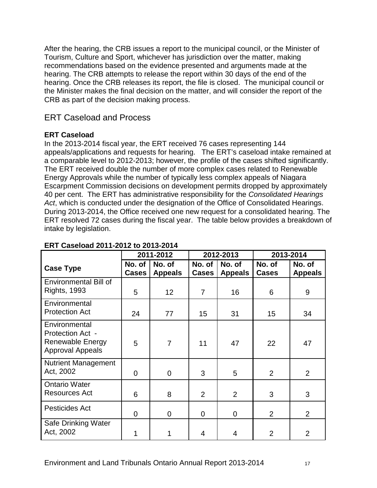After the hearing, the CRB issues a report to the municipal council, or the Minister of Tourism, Culture and Sport, whichever has jurisdiction over the matter, making recommendations based on the evidence presented and arguments made at the hearing. The CRB attempts to release the report within 30 days of the end of the hearing. Once the CRB releases its report, the file is closed. The municipal council or the Minister makes the final decision on the matter, and will consider the report of the CRB as part of the decision making process.

# <span id="page-18-0"></span>ERT Caseload and Process

#### **ERT Caseload**

In the 2013-2014 fiscal year, the ERT received 76 cases representing 144 appeals/applications and requests for hearing. The ERT's caseload intake remained at a comparable level to 2012-2013; however, the profile of the cases shifted significantly. The ERT received double the number of more complex cases related to Renewable Energy Approvals while the number of typically less complex appeals of Niagara Escarpment Commission decisions on development permits dropped by approximately 40 per cent. The ERT has administrative responsibility for the *Consolidated Hearings Act*, which is conducted under the designation of the Office of Consolidated Hearings. During 2013-2014, the Office received one new request for a consolidated hearing. The ERT resolved 72 cases during the fiscal year. The table below provides a breakdown of intake by legislation.

|                                                                                         | 2011-2012              |                          | 2012-2013              |                          | 2013-2014              |                          |
|-----------------------------------------------------------------------------------------|------------------------|--------------------------|------------------------|--------------------------|------------------------|--------------------------|
| <b>Case Type</b>                                                                        | No. of<br><b>Cases</b> | No. of<br><b>Appeals</b> | No. of<br><b>Cases</b> | No. of<br><b>Appeals</b> | No. of<br><b>Cases</b> | No. of<br><b>Appeals</b> |
| <b>Environmental Bill of</b><br><b>Rights, 1993</b>                                     | 5                      | 12 <sup>2</sup>          | 7                      | 16                       | 6                      | 9                        |
| Environmental<br><b>Protection Act</b>                                                  | 24                     | 77                       | 15                     | 31                       | 15                     | 34                       |
| Environmental<br>Protection Act -<br><b>Renewable Energy</b><br><b>Approval Appeals</b> | 5                      | $\overline{7}$           | 11                     | 47                       | 22                     | 47                       |
| <b>Nutrient Management</b><br>Act, 2002                                                 | $\overline{0}$         | $\overline{0}$           | 3                      | 5                        | $\overline{2}$         | 2                        |
| <b>Ontario Water</b><br><b>Resources Act</b>                                            | 6                      | 8                        | $\overline{2}$         | 2                        | 3                      | 3                        |
| Pesticides Act                                                                          | $\Omega$               | $\overline{0}$           | 0                      | $\overline{0}$           | $\overline{2}$         | $\overline{2}$           |
| Safe Drinking Water<br>Act, 2002                                                        |                        | 1                        | 4                      | 4                        | $\overline{2}$         | 2                        |

## **ERT Caseload 2011-2012 to 2013-2014**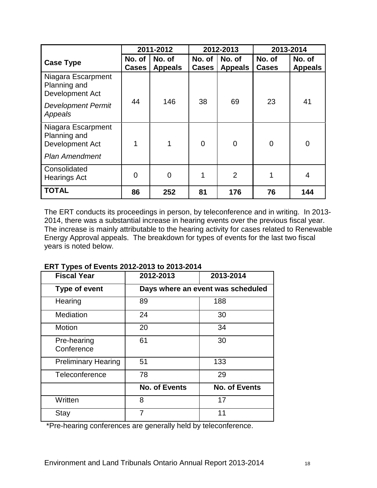|                                                                                | 2011-2012              |                          | 2012-2013              |                          | 2013-2014              |                          |
|--------------------------------------------------------------------------------|------------------------|--------------------------|------------------------|--------------------------|------------------------|--------------------------|
| <b>Case Type</b>                                                               | No. of<br><b>Cases</b> | No. of<br><b>Appeals</b> | No. of<br><b>Cases</b> | No. of<br><b>Appeals</b> | No. of<br><b>Cases</b> | No. of<br><b>Appeals</b> |
| Niagara Escarpment<br>Planning and<br>Development Act                          |                        |                          |                        |                          |                        |                          |
| <b>Development Permit</b><br>Appeals                                           | 44                     | 146                      | 38                     | 69                       | 23                     | 41                       |
| Niagara Escarpment<br>Planning and<br>Development Act<br><b>Plan Amendment</b> | 1                      |                          | $\overline{0}$         | $\overline{0}$           | $\overline{0}$         | $\overline{0}$           |
| Consolidated<br><b>Hearings Act</b>                                            | $\overline{0}$         | 0                        | 1                      | $\overline{2}$           |                        | 4                        |
| <b>TOTAL</b>                                                                   | 86                     | 252                      | 81                     | 176                      | 76                     | 144                      |

The ERT conducts its proceedings in person, by teleconference and in writing. In 2013- 2014, there was a substantial increase in hearing events over the previous fiscal year. The increase is mainly attributable to the hearing activity for cases related to Renewable Energy Approval appeals. The breakdown for types of events for the last two fiscal years is noted below.

| <b>Fiscal Year</b>         | 2012-2013                         | 2013-2014            |  |
|----------------------------|-----------------------------------|----------------------|--|
| <b>Type of event</b>       | Days where an event was scheduled |                      |  |
| Hearing                    | 89                                | 188                  |  |
| Mediation                  | 24                                | 30                   |  |
| Motion                     | 20                                | 34                   |  |
| Pre-hearing<br>Conference  | 61                                | 30                   |  |
| <b>Preliminary Hearing</b> | 51                                | 133                  |  |
| Teleconference             | 78                                | 29                   |  |
|                            | <b>No. of Events</b>              | <b>No. of Events</b> |  |
| Written                    | 8                                 | 17                   |  |
| Stay                       | 7                                 | 11                   |  |

#### **ERT Types of Events 2012-2013 to 2013-2014**

\*Pre-hearing conferences are generally held by teleconference.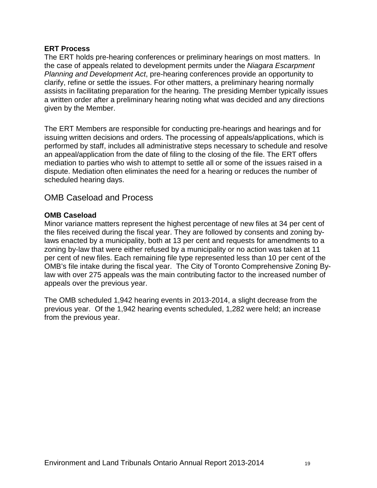#### **ERT Process**

The ERT holds pre-hearing conferences or preliminary hearings on most matters. In the case of appeals related to development permits under the *Niagara Escarpment Planning and Development Act*, pre-hearing conferences provide an opportunity to clarify, refine or settle the issues. For other matters, a preliminary hearing normally assists in facilitating preparation for the hearing. The presiding Member typically issues a written order after a preliminary hearing noting what was decided and any directions given by the Member.

The ERT Members are responsible for conducting pre-hearings and hearings and for issuing written decisions and orders. The processing of appeals/applications, which is performed by staff, includes all administrative steps necessary to schedule and resolve an appeal/application from the date of filing to the closing of the file. The ERT offers mediation to parties who wish to attempt to settle all or some of the issues raised in a dispute. Mediation often eliminates the need for a hearing or reduces the number of scheduled hearing days.

# <span id="page-20-0"></span>OMB Caseload and Process

#### **OMB Caseload**

Minor variance matters represent the highest percentage of new files at 34 per cent of the files received during the fiscal year. They are followed by consents and zoning bylaws enacted by a municipality, both at 13 per cent and requests for amendments to a zoning by-law that were either refused by a municipality or no action was taken at 11 per cent of new files. Each remaining file type represented less than 10 per cent of the OMB's file intake during the fiscal year. The City of Toronto Comprehensive Zoning Bylaw with over 275 appeals was the main contributing factor to the increased number of appeals over the previous year.

The OMB scheduled 1,942 hearing events in 2013-2014, a slight decrease from the previous year. Of the 1,942 hearing events scheduled, 1,282 were held; an increase from the previous year.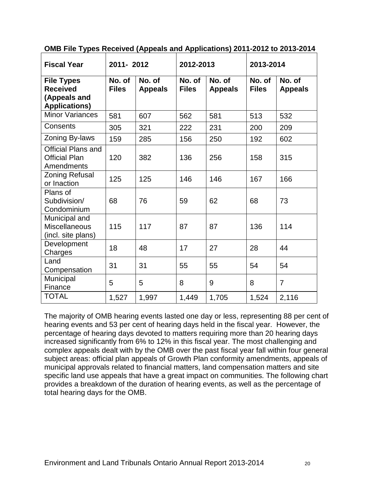| <b>Fiscal Year</b>                                                           | 2011-2012              |                          | 2012-2013              |                          | 2013-2014              |                          |
|------------------------------------------------------------------------------|------------------------|--------------------------|------------------------|--------------------------|------------------------|--------------------------|
| <b>File Types</b><br><b>Received</b><br>(Appeals and<br><b>Applications)</b> | No. of<br><b>Files</b> | No. of<br><b>Appeals</b> | No. of<br><b>Files</b> | No. of<br><b>Appeals</b> | No. of<br><b>Files</b> | No. of<br><b>Appeals</b> |
| <b>Minor Variances</b>                                                       | 581                    | 607                      | 562                    | 581                      | 513                    | 532                      |
| Consents                                                                     | 305                    | 321                      | 222                    | 231                      | 200                    | 209                      |
| Zoning By-laws                                                               | 159                    | 285                      | 156                    | 250                      | 192                    | 602                      |
| <b>Official Plans and</b><br><b>Official Plan</b><br>Amendments              | 120                    | 382                      | 136                    | 256                      | 158                    | 315                      |
| <b>Zoning Refusal</b><br>or Inaction                                         | 125                    | 125                      | 146                    | 146                      | 167                    | 166                      |
| Plans of<br>Subdivision/<br>Condominium                                      | 68                     | 76                       | 59                     | 62                       | 68                     | 73                       |
| Municipal and<br><b>Miscellaneous</b><br>(incl. site plans)                  | 115                    | 117                      | 87                     | 87                       | 136                    | 114                      |
| Development<br>Charges                                                       | 18                     | 48                       | 17                     | 27                       | 28                     | 44                       |
| Land<br>Compensation                                                         | 31                     | 31                       | 55                     | 55                       | 54                     | 54                       |
| Municipal<br>Finance                                                         | 5                      | 5                        | 8                      | 9                        | 8                      | $\overline{7}$           |
| <b>TOTAL</b>                                                                 | 1,527                  | 1,997                    | 1,449                  | 1,705                    | 1,524                  | 2,116                    |

**OMB File Types Received (Appeals and Applications) 2011-2012 to 2013-2014**

The majority of OMB hearing events lasted one day or less, representing 88 per cent of hearing events and 53 per cent of hearing days held in the fiscal year. However, the percentage of hearing days devoted to matters requiring more than 20 hearing days increased significantly from 6% to 12% in this fiscal year. The most challenging and complex appeals dealt with by the OMB over the past fiscal year fall within four general subject areas: official plan appeals of Growth Plan conformity amendments, appeals of municipal approvals related to financial matters, land compensation matters and site specific land use appeals that have a great impact on communities. The following chart provides a breakdown of the duration of hearing events, as well as the percentage of total hearing days for the OMB.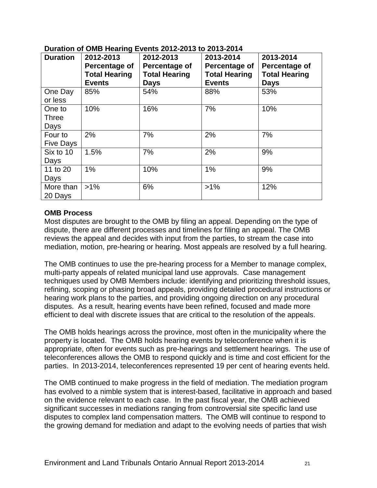| <b>Duration</b>                | 2012-2013<br>Percentage of<br><b>Total Hearing</b><br><b>Events</b> | 2012-2013<br>Percentage of<br><b>Total Hearing</b><br><b>Days</b> | 2013-2014<br>Percentage of<br><b>Total Hearing</b><br><b>Events</b> | 2013-2014<br>Percentage of<br><b>Total Hearing</b><br><b>Days</b> |
|--------------------------------|---------------------------------------------------------------------|-------------------------------------------------------------------|---------------------------------------------------------------------|-------------------------------------------------------------------|
| One Day<br>or less             | 85%                                                                 | 54%                                                               | 88%                                                                 | 53%                                                               |
| One to<br><b>Three</b><br>Days | 10%                                                                 | 16%                                                               | 7%                                                                  | 10%                                                               |
| Four to<br><b>Five Days</b>    | 2%                                                                  | 7%                                                                | 2%                                                                  | 7%                                                                |
| Six to 10<br>Days              | 1.5%                                                                | 7%                                                                | 2%                                                                  | 9%                                                                |
| 11 to 20<br>Days               | 1%                                                                  | 10%                                                               | 1%                                                                  | 9%                                                                |
| More than<br>20 Days           | $>1\%$                                                              | 6%                                                                | $>1\%$                                                              | 12%                                                               |

### **Duration of OMB Hearing Events 2012-2013 to 2013-2014**

#### **OMB Process**

Most disputes are brought to the OMB by filing an appeal. Depending on the type of dispute, there are different processes and timelines for filing an appeal. The OMB reviews the appeal and decides with input from the parties, to stream the case into mediation, motion, pre-hearing or hearing. Most appeals are resolved by a full hearing.

The OMB continues to use the pre-hearing process for a Member to manage complex, multi-party appeals of related municipal land use approvals. Case management techniques used by OMB Members include: identifying and prioritizing threshold issues, refining, scoping or phasing broad appeals, providing detailed procedural instructions or hearing work plans to the parties, and providing ongoing direction on any procedural disputes. As a result, hearing events have been refined, focused and made more efficient to deal with discrete issues that are critical to the resolution of the appeals.

The OMB holds hearings across the province, most often in the municipality where the property is located. The OMB holds hearing events by teleconference when it is appropriate, often for events such as pre-hearings and settlement hearings. The use of teleconferences allows the OMB to respond quickly and is time and cost efficient for the parties. In 2013-2014, teleconferences represented 19 per cent of hearing events held.

The OMB continued to make progress in the field of mediation. The mediation program has evolved to a nimble system that is interest-based, facilitative in approach and based on the evidence relevant to each case. In the past fiscal year, the OMB achieved significant successes in mediations ranging from controversial site specific land use disputes to complex land compensation matters. The OMB will continue to respond to the growing demand for mediation and adapt to the evolving needs of parties that wish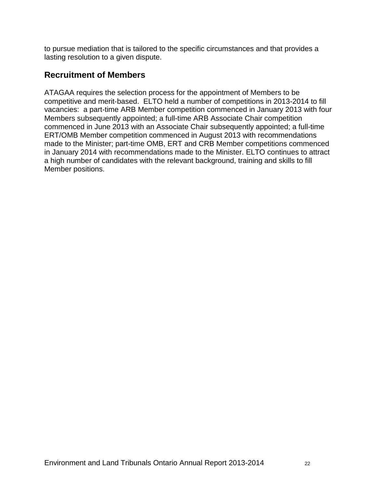to pursue mediation that is tailored to the specific circumstances and that provides a lasting resolution to a given dispute.

# <span id="page-23-0"></span>**Recruitment of Members**

ATAGAA requires the selection process for the appointment of Members to be competitive and merit‐based. ELTO held a number of competitions in 2013-2014 to fill vacancies: a part-time ARB Member competition commenced in January 2013 with four Members subsequently appointed; a full-time ARB Associate Chair competition commenced in June 2013 with an Associate Chair subsequently appointed; a full-time ERT/OMB Member competition commenced in August 2013 with recommendations made to the Minister; part-time OMB, ERT and CRB Member competitions commenced in January 2014 with recommendations made to the Minister. ELTO continues to attract a high number of candidates with the relevant background, training and skills to fill Member positions.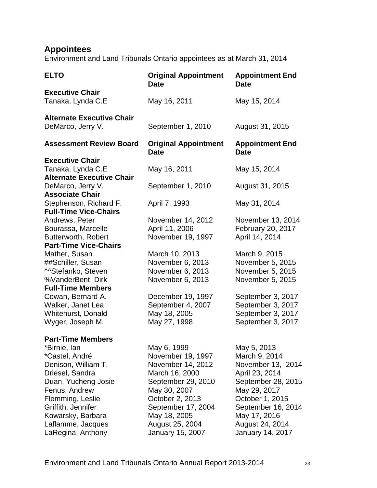# <span id="page-24-0"></span>**Appointees**

Environment and Land Tribunals Ontario appointees as at March 31, 2014

| <b>ELTO</b>                                           | <b>Original Appointment</b><br><b>Date</b> | <b>Appointment End</b><br><b>Date</b> |
|-------------------------------------------------------|--------------------------------------------|---------------------------------------|
| <b>Executive Chair</b><br>Tanaka, Lynda C.E           | May 16, 2011                               | May 15, 2014                          |
| <b>Alternate Executive Chair</b><br>DeMarco, Jerry V. | September 1, 2010                          | August 31, 2015                       |
| <b>Assessment Review Board</b>                        | <b>Original Appointment</b><br><b>Date</b> | <b>Appointment End</b><br><b>Date</b> |
| <b>Executive Chair</b>                                |                                            |                                       |
| Tanaka, Lynda C.E                                     | May 16, 2011                               | May 15, 2014                          |
| <b>Alternate Executive Chair</b>                      |                                            |                                       |
| DeMarco, Jerry V.                                     | September 1, 2010                          | August 31, 2015                       |
| <b>Associate Chair</b>                                |                                            |                                       |
| Stephenson, Richard F.                                | April 7, 1993                              | May 31, 2014                          |
| <b>Full-Time Vice-Chairs</b>                          |                                            |                                       |
| Andrews, Peter                                        | November 14, 2012                          | November 13, 2014                     |
| Bourassa, Marcelle                                    | April 11, 2006                             | February 20, 2017                     |
| Butterworth, Robert                                   | November 19, 1997                          | April 14, 2014                        |
| <b>Part-Time Vice-Chairs</b>                          |                                            |                                       |
| Mather, Susan                                         | March 10, 2013                             | March 9, 2015                         |
| ##Schiller, Susan                                     | November 6, 2013                           | November 5, 2015                      |
| MStefanko, Steven                                     | November 6, 2013                           | November 5, 2015                      |
| %VanderBent, Dirk                                     | November 6, 2013                           | November 5, 2015                      |
| <b>Full-Time Members</b>                              |                                            |                                       |
| Cowan, Bernard A.                                     | December 19, 1997                          | September 3, 2017                     |
| Walker, Janet Lea                                     | September 4, 2007                          | September 3, 2017                     |
| Whitehurst, Donald                                    | May 18, 2005                               | September 3, 2017                     |
| Wyger, Joseph M.                                      | May 27, 1998                               | September 3, 2017                     |
| <b>Part-Time Members</b>                              |                                            |                                       |
| *Birnie, Ian                                          | May 6, 1999                                | May 5, 2013                           |
| *Castel, André                                        | November 19, 1997                          | March 9, 2014                         |
| Denison, William T.                                   | November 14, 2012                          | November 13, 2014                     |
| Driesel, Sandra                                       | March 16, 2000                             | April 23, 2014                        |
| Duan, Yucheng Josie                                   | September 29, 2010                         | September 28, 2015                    |
| Fenus, Andrew                                         | May 30, 2007                               | May 29, 2017                          |
| Flemming, Leslie                                      | October 2, 2013                            | October 1, 2015                       |
| Griffith, Jennifer                                    | September 17, 2004                         | September 16, 2014                    |
| Kowarsky, Barbara                                     | May 18, 2005                               | May 17, 2016                          |
| Laflamme, Jacques                                     | August 25, 2004                            | August 24, 2014                       |
| LaRegina, Anthony                                     | January 15, 2007                           | <b>January 14, 2017</b>               |
|                                                       |                                            |                                       |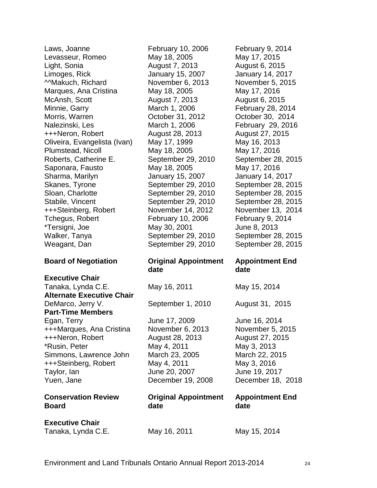| Levasseur, Romeo                 | May 18, 2005                | May 17, 2015           |
|----------------------------------|-----------------------------|------------------------|
| Light, Sonia                     | August 7, 2013              | August 6, 2015         |
| Limoges, Rick                    | January 15, 2007            | January 14, 2017       |
| MAAkuch, Richard                 | November 6, 2013            | November 5, 2015       |
| Marques, Ana Cristina            | May 18, 2005                | May 17, 2016           |
| McAnsh, Scott                    | August 7, 2013              | August 6, 2015         |
| Minnie, Garry                    | March 1, 2006               | February 28, 2014      |
| Morris, Warren                   | October 31, 2012            | October 30, 2014       |
| Nalezinski, Les                  | March 1, 2006               | February 29, 2016      |
| +++Neron, Robert                 | August 28, 2013             | August 27, 2015        |
| Oliveira, Evangelista (Ivan)     | May 17, 1999                | May 16, 2013           |
| Plumstead, Nicoll                | May 18, 2005                | May 17, 2016           |
| Roberts, Catherine E.            | September 29, 2010          | September 28, 2015     |
| Saponara, Fausto                 | May 18, 2005                | May 17, 2016           |
| Sharma, Marilyn                  | January 15, 2007            | January 14, 2017       |
| Skanes, Tyrone                   | September 29, 2010          | September 28, 2015     |
| Sloan, Charlotte                 | September 29, 2010          | September 28, 2015     |
| Stabile, Vincent                 | September 29, 2010          | September 28, 2015     |
| +++Steinberg, Robert             | November 14, 2012           | November 13, 2014      |
| Tchegus, Robert                  | February 10, 2006           | February 9, 2014       |
| *Tersigni, Joe                   | May 30, 2001                | June 8, 2013           |
| Walker, Tanya                    | September 29, 2010          | September 28, 2015     |
| Weagant, Dan                     | September 29, 2010          | September 28, 2015     |
|                                  |                             |                        |
|                                  |                             |                        |
| <b>Board of Negotiation</b>      | <b>Original Appointment</b> | <b>Appointment End</b> |
|                                  | date                        | date                   |
| <b>Executive Chair</b>           |                             |                        |
| Tanaka, Lynda C.E.               | May 16, 2011                | May 15, 2014           |
| <b>Alternate Executive Chair</b> |                             |                        |
| DeMarco, Jerry V.                | September 1, 2010           | August 31, 2015        |
| <b>Part-Time Members</b>         |                             |                        |
| Egan, Terry                      | June 17, 2009               | June 16, 2014          |
| +++Marques, Ana Cristina         | November 6, 2013            | November 5, 2015       |
| +++Neron, Robert                 | August 28, 2013             | August 27, 2015        |
| *Rusin, Peter                    | May 4, 2011                 | May 3, 2013            |
| Simmons, Lawrence John           | March 23, 2005              | March 22, 2015         |
| +++Steinberg, Robert             | May 4, 2011                 | May 3, 2016            |
| Taylor, lan                      | June 20, 2007               | June 19, 2017          |
| Yuen, Jane                       | December 19, 2008           | December 18, 2018      |
|                                  |                             |                        |
| <b>Conservation Review</b>       | <b>Original Appointment</b> | <b>Appointment End</b> |
| <b>Board</b>                     | date                        | date                   |
| <b>Executive Chair</b>           |                             |                        |
| Tanaka, Lynda C.E.               | May 16, 2011                | May 15, 2014           |

Laws, Joanne **February 10, 2006** February 9, 2014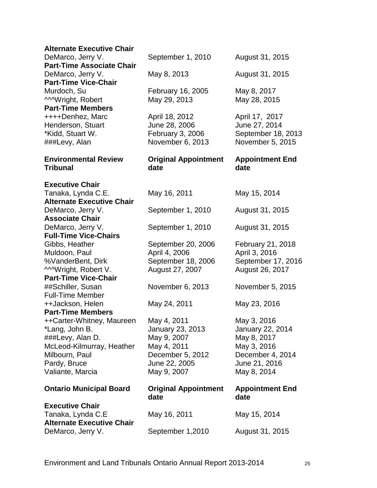| <b>Alternate Executive Chair</b>                      |                                     |                                |
|-------------------------------------------------------|-------------------------------------|--------------------------------|
| DeMarco, Jerry V.                                     | September 1, 2010                   | August 31, 2015                |
| <b>Part-Time Associate Chair</b>                      |                                     |                                |
| DeMarco, Jerry V.                                     | May 8, 2013                         | August 31, 2015                |
| <b>Part-Time Vice-Chair</b>                           |                                     |                                |
| Murdoch, Su                                           | February 16, 2005                   | May 8, 2017                    |
| <b>MWright, Robert</b>                                | May 29, 2013                        | May 28, 2015                   |
| <b>Part-Time Members</b>                              |                                     |                                |
| ++++Denhez, Marc                                      | April 18, 2012                      | April 17, 2017                 |
| Henderson, Stuart                                     | June 28, 2006                       | June 27, 2014                  |
| *Kidd, Stuart W.                                      | February 3, 2006                    | September 18, 2013             |
| ###Levy, Alan                                         | November 6, 2013                    | November 5, 2015               |
| <b>Environmental Review</b><br><b>Tribunal</b>        | <b>Original Appointment</b><br>date | <b>Appointment End</b><br>date |
| <b>Executive Chair</b>                                |                                     |                                |
| Tanaka, Lynda C.E.                                    | May 16, 2011                        | May 15, 2014                   |
| <b>Alternate Executive Chair</b>                      |                                     |                                |
| DeMarco, Jerry V.                                     | September 1, 2010                   | August 31, 2015                |
| <b>Associate Chair</b>                                |                                     |                                |
| DeMarco, Jerry V.                                     | September 1, 2010                   | August 31, 2015                |
| <b>Full-Time Vice-Chairs</b>                          |                                     |                                |
| Gibbs, Heather                                        | September 20, 2006                  | February 21, 2018              |
| Muldoon, Paul                                         | April 4, 2006                       | April 3, 2016                  |
| %VanderBent, Dirk                                     | September 18, 2006                  | September 17, 2016             |
| <b>MWright, Robert V.</b>                             | August 27, 2007                     | August 26, 2017                |
| <b>Part-Time Vice-Chair</b>                           |                                     |                                |
| ##Schiller, Susan                                     | November 6, 2013                    | November 5, 2015               |
| <b>Full-Time Member</b>                               |                                     |                                |
| ++Jackson, Helen                                      | May 24, 2011                        | May 23, 2016                   |
| <b>Part-Time Members</b>                              |                                     |                                |
| ++Carter-Whitney, Maureen                             | May 4, 2011                         | May 3, 2016                    |
| *Lang, John B.                                        | January 23, 2013                    | <b>January 22, 2014</b>        |
| ###Levy, Alan D.                                      | May 9, 2007                         | May 8, 2017                    |
| McLeod-Kilmurray, Heather                             | May 4, 2011                         | May 3, 2016                    |
| Milbourn, Paul                                        | December 5, 2012                    | December 4, 2014               |
| Pardy, Bruce                                          | June 22, 2005                       | June 21, 2016                  |
| Valiante, Marcia                                      | May 9, 2007                         | May 8, 2014                    |
| <b>Ontario Municipal Board</b>                        | <b>Original Appointment</b><br>date | <b>Appointment End</b><br>date |
| <b>Executive Chair</b><br>Tanaka, Lynda C.E           | May 16, 2011                        | May 15, 2014                   |
| <b>Alternate Executive Chair</b><br>DeMarco, Jerry V. | September 1,2010                    | August 31, 2015                |